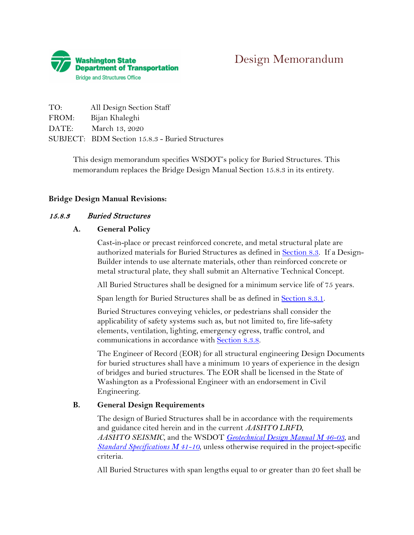

| TO:   | All Design Section Staff                        |
|-------|-------------------------------------------------|
| FROM: | Bijan Khaleghi                                  |
| DATE: | March 13, 2020                                  |
|       | SUBJECT: BDM Section 15.8.3 - Buried Structures |

This design memorandum specifies WSDOT's policy for Buried Structures. This memorandum replaces the Bridge Design Manual Section 15.8.3 in its entirety.

#### **Bridge Design Manual Revisions:**

#### 15.8.3 Buried Structures

#### **A. General Policy**

Cast-in-place or precast reinforced concrete, and metal structural plate are authorized materials for Buried Structures as defined in **Section 8.3.** If a Design-Builder intends to use alternate materials, other than reinforced concrete or metal structural plate, they shall submit an Alternative Technical Concept.

All Buried Structures shall be designed for a minimum service life of 75 years.

Span length for Buried Structures shall be as defined in **Section 8.3.1**.

Buried Structures conveying vehicles, or pedestrians shall consider the applicability of safety systems such as, but not limited to, fire life-safety elements, ventilation, lighting, emergency egress, traffic control, and communications in accordance with Section 8.3.8.

The Engineer of Record (EOR) for all structural engineering Design Documents for buried structures shall have a minimum 10 years of experience in the design of bridges and buried structures. The EOR shall be licensed in the State of Washington as a Professional Engineer with an endorsement in Civil Engineering.

#### **B. General Design Requirements**

The design of Buried Structures shall be in accordance with the requirements and guidance cited herein and in the current *AASHTO LRFD*, *AASHTO SEISMIC,* and the WSDOT *[Geotechnical Design Manual M 46-03,](http://www.wsdot.wa.gov/Publications/Manuals/M46-03.htm)* and *[Standard Specifications M 41-10](http://www.wsdot.wa.gov/Publications/Manuals/M41-10.htm)*, unless otherwise required in the project-specific criteria.

All Buried Structures with span lengths equal to or greater than 20 feet shall be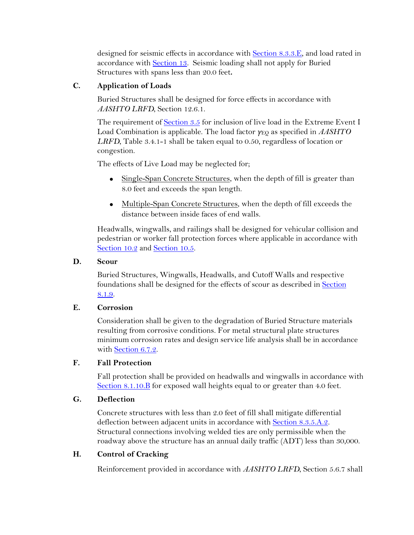designed for seismic effects in accordance with Section 8.3.3.E, and load rated in accordance with Section 13. Seismic loading shall not apply for Buried Structures with spans less than 20.0 feet**.**

# **C. Application of Loads**

Buried Structures shall be designed for force effects in accordance with *AASHTO LRFD*, Section 12.6.1.

The requirement of Section 3.5 for inclusion of live load in the Extreme Event I Load Combination is applicable. The load factor *γ*EQ as specified in *AASHTO LRFD*, Table 3.4.1-1 shall be taken equal to 0.50, regardless of location or congestion.

The effects of Live Load may be neglected for;

- Single-Span Concrete Structures, when the depth of fill is greater than 8.0 feet and exceeds the span length.
- Multiple-Span Concrete Structures, when the depth of fill exceeds the distance between inside faces of end walls.

Headwalls, wingwalls, and railings shall be designed for vehicular collision and pedestrian or worker fall protection forces where applicable in accordance with Section 10.2 and Section 10.5.

#### **D. Scour**

Buried Structures, Wingwalls, Headwalls, and Cutoff Walls and respective foundations shall be designed for the effects of scour as described in Section 8.1.9.

## **E. Corrosion**

Consideration shall be given to the degradation of Buried Structure materials resulting from corrosive conditions. For metal structural plate structures minimum corrosion rates and design service life analysis shall be in accordance with Section 6.7.2.

## **F. Fall Protection**

Fall protection shall be provided on headwalls and wingwalls in accordance with Section 8.1.10.B for exposed wall heights equal to or greater than 4.0 feet.

## **G. Deflection**

Concrete structures with less than 2.0 feet of fill shall mitigate differential deflection between adjacent units in accordance with Section 8.3.5.A.2. Structural connections involving welded ties are only permissible when the roadway above the structure has an annual daily traffic (ADT) less than 30,000.

## **H. Control of Cracking**

Reinforcement provided in accordance with *AASHTO LRFD*, Section 5.6.7 shall